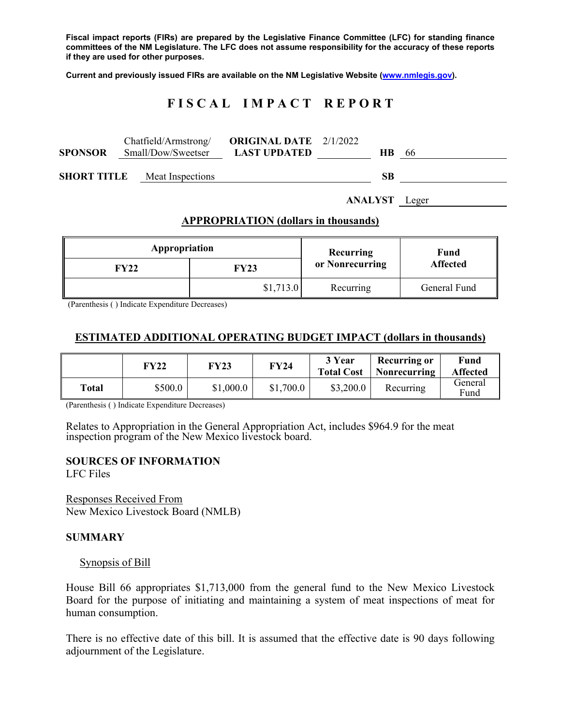**Fiscal impact reports (FIRs) are prepared by the Legislative Finance Committee (LFC) for standing finance committees of the NM Legislature. The LFC does not assume responsibility for the accuracy of these reports if they are used for other purposes.** 

**Current and previously issued FIRs are available on the NM Legislative Website (www.nmlegis.gov).** 

# **F I S C A L I M P A C T R E P O R T**

| <b>SPONSOR</b>     | Chatfield/Armstrong/<br>Small/Dow/Sweetser | <b>ORIGINAL DATE</b> 2/1/2022<br><b>LAST UPDATED</b> | -66<br><b>HB</b> |  |
|--------------------|--------------------------------------------|------------------------------------------------------|------------------|--|
| <b>SHORT TITLE</b> | Meat Inspections                           |                                                      | SВ               |  |

**ANALYST** Leger

## **APPROPRIATION (dollars in thousands)**

| Appropriation |           | Recurring       | Fund<br><b>Affected</b> |  |
|---------------|-----------|-----------------|-------------------------|--|
| <b>FY22</b>   | FY23      | or Nonrecurring |                         |  |
|               | \$1,713.0 | Recurring       | General Fund            |  |

(Parenthesis ( ) Indicate Expenditure Decreases)

## **ESTIMATED ADDITIONAL OPERATING BUDGET IMPACT (dollars in thousands)**

|       | <b>FY22</b> | <b>FY23</b> | <b>FY24</b> | 3 Year<br><b>Total Cost</b> | <b>Recurring or</b><br>Nonrecurring | Fund<br><b>Affected</b> |
|-------|-------------|-------------|-------------|-----------------------------|-------------------------------------|-------------------------|
| Total | \$500.0     | \$1,000.0   | \$1,700.0   | \$3,200.0                   | Recurring                           | General<br>Fund         |

(Parenthesis ( ) Indicate Expenditure Decreases)

Relates to Appropriation in the General Appropriation Act, includes \$964.9 for the meat inspection program of the New Mexico livestock board.

## **SOURCES OF INFORMATION**

LFC Files

Responses Received From New Mexico Livestock Board (NMLB)

#### **SUMMARY**

#### Synopsis of Bill

House Bill 66 appropriates \$1,713,000 from the general fund to the New Mexico Livestock Board for the purpose of initiating and maintaining a system of meat inspections of meat for human consumption.

There is no effective date of this bill. It is assumed that the effective date is 90 days following adjournment of the Legislature.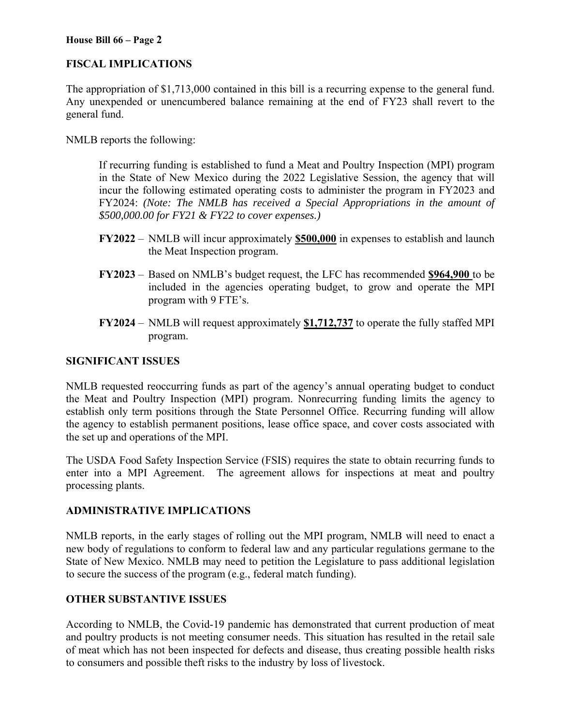#### **House Bill 66 – Page 2**

# **FISCAL IMPLICATIONS**

The appropriation of \$1,713,000 contained in this bill is a recurring expense to the general fund. Any unexpended or unencumbered balance remaining at the end of FY23 shall revert to the general fund.

NMLB reports the following:

If recurring funding is established to fund a Meat and Poultry Inspection (MPI) program in the State of New Mexico during the 2022 Legislative Session, the agency that will incur the following estimated operating costs to administer the program in FY2023 and FY2024: *(Note: The NMLB has received a Special Appropriations in the amount of \$500,000.00 for FY21 & FY22 to cover expenses.)* 

- **FY2022** NMLB will incur approximately **\$500,000** in expenses to establish and launch the Meat Inspection program.
- **FY2023** Based on NMLB's budget request, the LFC has recommended **\$964,900** to be included in the agencies operating budget, to grow and operate the MPI program with 9 FTE's.
- **FY2024** NMLB will request approximately **\$1,712,737** to operate the fully staffed MPI program.

## **SIGNIFICANT ISSUES**

NMLB requested reoccurring funds as part of the agency's annual operating budget to conduct the Meat and Poultry Inspection (MPI) program. Nonrecurring funding limits the agency to establish only term positions through the State Personnel Office. Recurring funding will allow the agency to establish permanent positions, lease office space, and cover costs associated with the set up and operations of the MPI.

The USDA Food Safety Inspection Service (FSIS) requires the state to obtain recurring funds to enter into a MPI Agreement. The agreement allows for inspections at meat and poultry processing plants.

## **ADMINISTRATIVE IMPLICATIONS**

NMLB reports, in the early stages of rolling out the MPI program, NMLB will need to enact a new body of regulations to conform to federal law and any particular regulations germane to the State of New Mexico. NMLB may need to petition the Legislature to pass additional legislation to secure the success of the program (e.g., federal match funding).

## **OTHER SUBSTANTIVE ISSUES**

According to NMLB, the Covid-19 pandemic has demonstrated that current production of meat and poultry products is not meeting consumer needs. This situation has resulted in the retail sale of meat which has not been inspected for defects and disease, thus creating possible health risks to consumers and possible theft risks to the industry by loss of livestock.